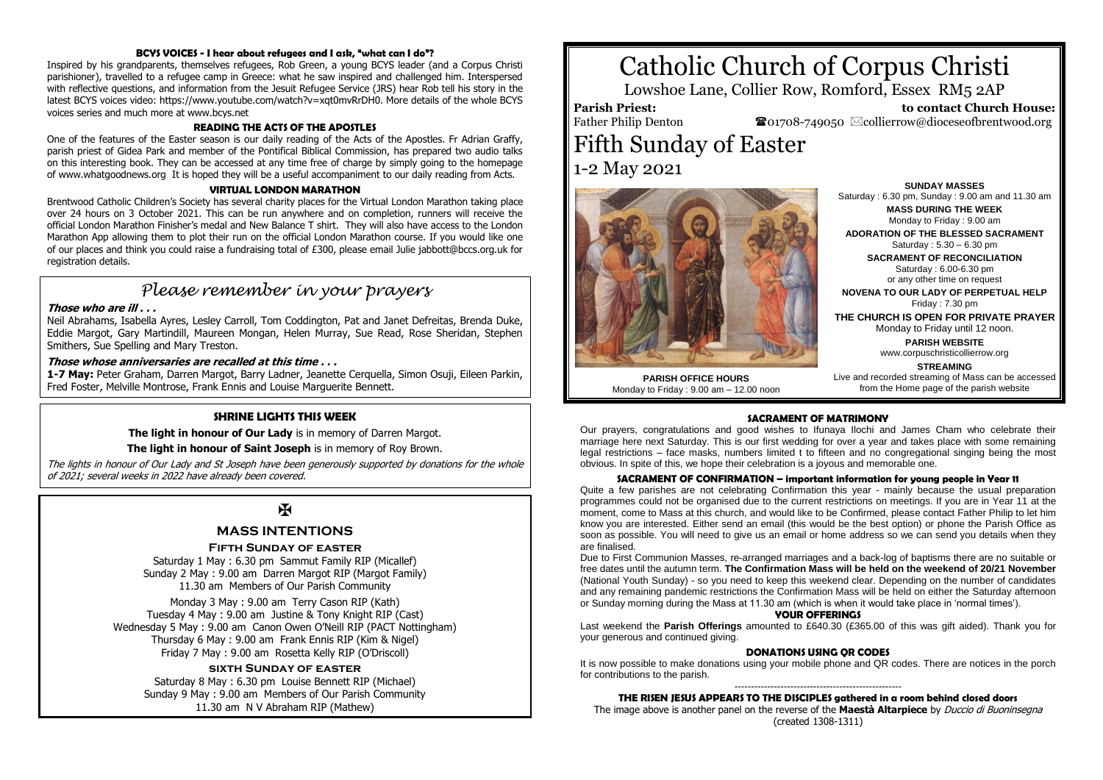#### **BCYS VOICES - I hear about refugees and I ask, "what can I do"?**

Inspired by his grandparents, themselves refugees, Rob Green, a young BCYS leader (and a Corpus Christi parishioner), travelled to a refugee camp in Greece: what he saw inspired and challenged him. Interspersed with reflective questions, and information from the Jesuit Refugee Service (JRS) hear Rob tell his story in the latest BCYS voices video: https://www.youtube.com/watch?v=xqt0mvRrDH0. More details of the whole BCYS voices series and much more at www.bcys.net

#### **READING THE ACTS OF THE APOSTLES**

One of the features of the Easter season is our daily reading of the Acts of the Apostles. Fr Adrian Graffy, parish priest of Gidea Park and member of the Pontifical Biblical Commission, has prepared two audio talks on this interesting book. They can be accessed at any time free of charge by simply going to the homepage of www.whatgoodnews.org It is hoped they will be a useful accompaniment to our daily reading from Acts.

#### **VIRTUAL LONDON MARATHON**

Brentwood Catholic Children's Society has several charity places for the Virtual London Marathon taking place over 24 hours on 3 October 2021. This can be run anywhere and on completion, runners will receive the official London Marathon Finisher's medal and New Balance T shirt. They will also have access to the London Marathon App allowing them to plot their run on the official London Marathon course. If you would like one of our places and think you could raise a fundraising total of £300, please email Julie jabbott@bccs.org.uk for registration details.

## *Please remember in your prayers*

#### **Those who are ill . . .**

Neil Abrahams, Isabella Ayres, Lesley Carroll, Tom Coddington, Pat and Janet Defreitas, Brenda Duke, Eddie Margot, Gary Martindill, Maureen Mongan, Helen Murray, Sue Read, Rose Sheridan, Stephen Smithers, Sue Spelling and Mary Treston.

#### **Those whose anniversaries are recalled at this time . . .**

**1-7 May:** Peter Graham, Darren Margot, Barry Ladner, Jeanette Cerquella, Simon Osuji, Eileen Parkin, Fred Foster, Melville Montrose, Frank Ennis and Louise Marguerite Bennett.

#### **SHRINE LIGHTS THIS WEEK**

**The light in honour of Our Lady** is in memory of Darren Margot.

**The light in honour of Saint Joseph** is in memory of Roy Brown.

The lights in honour of Our Lady and St Joseph have been generously supported by donations for the whole of 2021; several weeks in 2022 have already been covered.

### $\mathbf{H}$

#### **MASS INTENTIONS**

#### **Fifth Sunday of easter**

Saturday 1 May : 6.30 pm Sammut Family RIP (Micallef) Sunday 2 May : 9.00 am Darren Margot RIP (Margot Family) 11.30 am Members of Our Parish Community

Monday 3 May : 9.00 am Terry Cason RIP (Kath) Tuesday 4 May : 9.00 am Justine & Tony Knight RIP (Cast) Wednesday 5 May : 9.00 am Canon Owen O'Neill RIP (PACT Nottingham) Thursday 6 May : 9.00 am Frank Ennis RIP (Kim & Nigel) Friday 7 May : 9.00 am Rosetta Kelly RIP (O'Driscoll)

#### **sixth Sunday of easter**

Saturday 8 May : 6.30 pm Louise Bennett RIP (Michael) Sunday 9 May : 9.00 am Members of Our Parish Community 11.30 am N V Abraham RIP (Mathew)

# Catholic Church of Corpus Christi

Lowshoe Lane, Collier Row, Romford, Essex RM5 2AP

**Parish Priest:** Father Philip Denton

 **to contact Church House:**  $\bullet$ 01708-749050  $\boxtimes$ collierrow@dioceseofbrentwood.org

# Fifth Sunday of Easter 1-2 May 2021



**PARISH OFFICE HOURS** Monday to Friday : 9.00 am – 12.00 noon

**SUNDAY MASSES** Saturday : 6.30 pm, Sunday : 9.00 am and 11.30 am **MASS DURING THE WEEK**

Monday to Friday : 9.00 am **ADORATION OF THE BLESSED SACRAMENT** Saturday : 5.30 – 6.30 pm **SACRAMENT OF RECONCILIATION**

Saturday : 6.00-6.30 pm or any other time on request

**NOVENA TO OUR LADY OF PERPETUAL HELP** Friday  $\cdot$  7.30 pm

**THE CHURCH IS OPEN FOR PRIVATE PRAYER** Monday to Friday until 12 noon.

> **PARISH WEBSITE** www.corpuschristicollierrow.org

**STREAMING** Live and recorded streaming of Mass can be accessed from the Home page of the parish website

#### **SACRAMENT OF MATRIMONY**

Our prayers, congratulations and good wishes to Ifunaya Ilochi and James Cham who celebrate their marriage here next Saturday. This is our first wedding for over a year and takes place with some remaining legal restrictions – face masks, numbers limited t to fifteen and no congregational singing being the most obvious. In spite of this, we hope their celebration is a joyous and memorable one.

#### **SACRAMENT OF CONFIRMATION – important information for young people in Year 11**

Quite a few parishes are not celebrating Confirmation this year - mainly because the usual preparation programmes could not be organised due to the current restrictions on meetings. If you are in Year 11 at the moment, come to Mass at this church, and would like to be Confirmed, please contact Father Philip to let him know you are interested. Either send an email (this would be the best option) or phone the Parish Office as soon as possible. You will need to give us an email or home address so we can send you details when they are finalised.

Due to First Communion Masses, re-arranged marriages and a back-log of baptisms there are no suitable or free dates until the autumn term. **The Confirmation Mass will be held on the weekend of 20/21 November** (National Youth Sunday) - so you need to keep this weekend clear. Depending on the number of candidates and any remaining pandemic restrictions the Confirmation Mass will be held on either the Saturday afternoon or Sunday morning during the Mass at 11.30 am (which is when it would take place in 'normal times').

#### **YOUR OFFERINGS**

Last weekend the **Parish Offerings** amounted to £640.30 (£365.00 of this was gift aided). Thank you for your generous and continued giving.

#### **DONATIONS USING QR CODES**

It is now possible to make donations using your mobile phone and QR codes. There are notices in the porch for contributions to the parish.

#### --------------------------------------------------- **THE RISEN JESUS APPEARS TO THE DISCIPLES gathered in a room behind closed doors**

The image above is another panel on the reverse of the **Maestà Altarpiece** by Duccio di Buoninsegna (created 1308-1311)